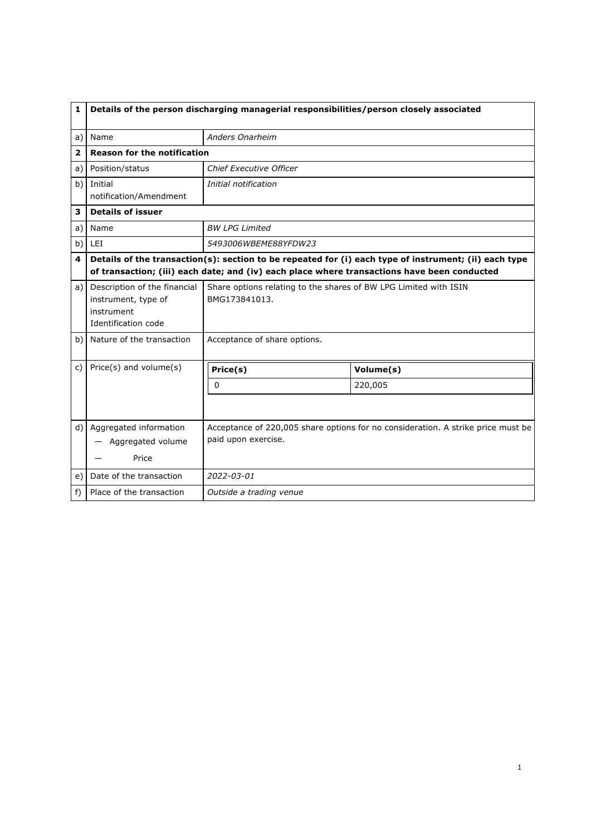| 1              | Details of the person discharging managerial responsibilities/person closely associated               |                                                                                             |           |  |
|----------------|-------------------------------------------------------------------------------------------------------|---------------------------------------------------------------------------------------------|-----------|--|
| a)             | Name                                                                                                  | <b>Anders Onarheim</b>                                                                      |           |  |
| $\overline{2}$ | <b>Reason for the notification</b>                                                                    |                                                                                             |           |  |
| a)             | Position/status                                                                                       | Chief Executive Officer                                                                     |           |  |
| b)             | Initial                                                                                               | Initial notification                                                                        |           |  |
|                | notification/Amendment                                                                                |                                                                                             |           |  |
| 3              | <b>Details of issuer</b>                                                                              |                                                                                             |           |  |
| a)             | Name                                                                                                  | <b>BW LPG Limited</b>                                                                       |           |  |
| b)             | LEI                                                                                                   | 5493006WBEME88YFDW23                                                                        |           |  |
| 4              | Details of the transaction(s): section to be repeated for (i) each type of instrument; (ii) each type |                                                                                             |           |  |
|                |                                                                                                       | of transaction; (iii) each date; and (iv) each place where transactions have been conducted |           |  |
| a)             | Description of the financial<br>instrument, type of<br>instrument<br>Identification code              | Share options relating to the shares of BW LPG Limited with ISIN<br>BMG173841013.           |           |  |
| b)             | Nature of the transaction                                                                             | Acceptance of share options.                                                                |           |  |
| c)             | Price(s) and volume(s)                                                                                | Price(s)                                                                                    | Volume(s) |  |
|                |                                                                                                       | $\Omega$                                                                                    | 220,005   |  |
|                |                                                                                                       |                                                                                             |           |  |
| d)             | Aggregated information                                                                                | Acceptance of 220,005 share options for no consideration. A strike price must be            |           |  |
|                | Aggregated volume                                                                                     | paid upon exercise.                                                                         |           |  |
|                | Price                                                                                                 |                                                                                             |           |  |
| e)             | Date of the transaction                                                                               | 2022-03-01                                                                                  |           |  |
| $f$ )          | Place of the transaction                                                                              | Outside a trading venue                                                                     |           |  |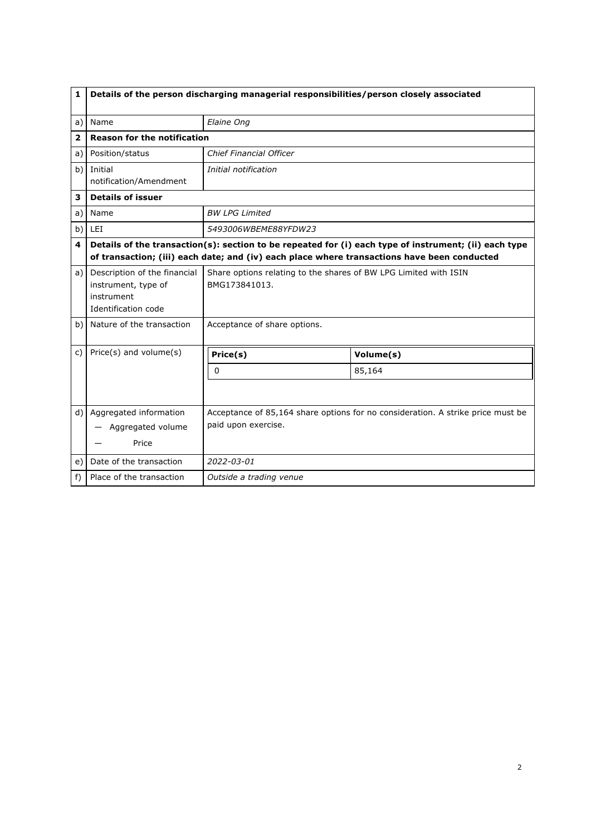| $\mathbf{1}$   | Details of the person discharging managerial responsibilities/person closely associated  |                                                                                                        |           |  |  |
|----------------|------------------------------------------------------------------------------------------|--------------------------------------------------------------------------------------------------------|-----------|--|--|
| a)             | Name                                                                                     | Elaine Ong                                                                                             |           |  |  |
| $\overline{2}$ | <b>Reason for the notification</b>                                                       |                                                                                                        |           |  |  |
| a)             | Position/status                                                                          | <b>Chief Financial Officer</b>                                                                         |           |  |  |
| b)             | Initial<br>notification/Amendment                                                        | Initial notification                                                                                   |           |  |  |
| 3              | <b>Details of issuer</b>                                                                 |                                                                                                        |           |  |  |
| a)             | Name                                                                                     | <b>BW LPG Limited</b>                                                                                  |           |  |  |
| b)             | LEI                                                                                      | 5493006WBEME88YFDW23                                                                                   |           |  |  |
| 4              |                                                                                          | Details of the transaction(s): section to be repeated for (i) each type of instrument; (ii) each type  |           |  |  |
|                |                                                                                          | of transaction; (iii) each date; and (iv) each place where transactions have been conducted            |           |  |  |
| a)             | Description of the financial<br>instrument, type of<br>instrument<br>Identification code | Share options relating to the shares of BW LPG Limited with ISIN<br>BMG173841013.                      |           |  |  |
| b)             | Nature of the transaction                                                                | Acceptance of share options.                                                                           |           |  |  |
| C)             | Price(s) and volume(s)                                                                   | Price(s)                                                                                               | Volume(s) |  |  |
|                |                                                                                          | 0                                                                                                      | 85,164    |  |  |
|                |                                                                                          |                                                                                                        |           |  |  |
| d)             | Aggregated information<br>Aggregated volume<br>Price                                     | Acceptance of 85,164 share options for no consideration. A strike price must be<br>paid upon exercise. |           |  |  |
| e)             | Date of the transaction                                                                  | 2022-03-01                                                                                             |           |  |  |
| f)             | Place of the transaction                                                                 | Outside a trading venue                                                                                |           |  |  |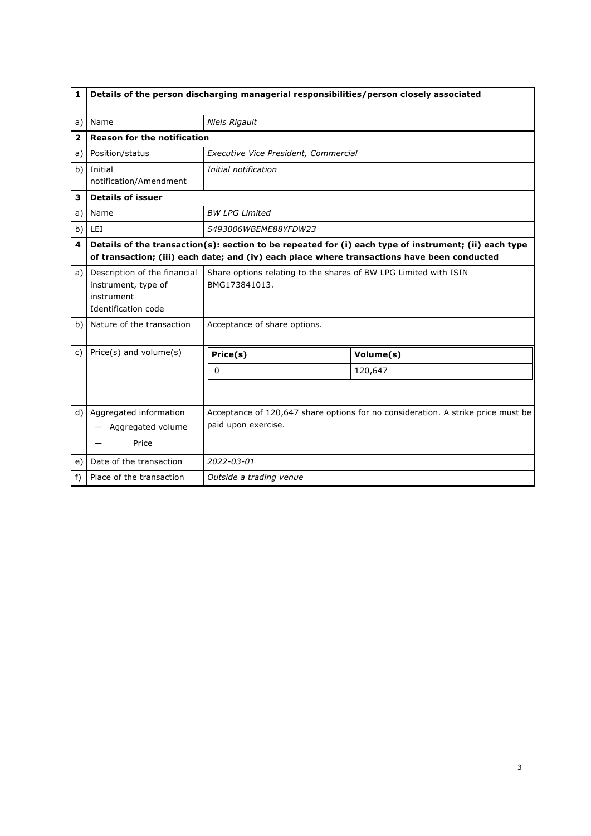| $\mathbf{1}$   | Details of the person discharging managerial responsibilities/person closely associated  |                                                                                                                                                                                                      |           |  |
|----------------|------------------------------------------------------------------------------------------|------------------------------------------------------------------------------------------------------------------------------------------------------------------------------------------------------|-----------|--|
| a)             | Name                                                                                     | <b>Niels Rigault</b>                                                                                                                                                                                 |           |  |
| $\overline{2}$ | <b>Reason for the notification</b>                                                       |                                                                                                                                                                                                      |           |  |
| a)             | Position/status                                                                          | Executive Vice President, Commercial                                                                                                                                                                 |           |  |
| b)             | Initial<br>notification/Amendment                                                        | Initial notification                                                                                                                                                                                 |           |  |
| 3              | <b>Details of issuer</b>                                                                 |                                                                                                                                                                                                      |           |  |
| a)             | Name                                                                                     | <b>BW LPG Limited</b>                                                                                                                                                                                |           |  |
| b)             | LEI                                                                                      | 5493006WBEME88YFDW23                                                                                                                                                                                 |           |  |
| 4              |                                                                                          | Details of the transaction(s): section to be repeated for (i) each type of instrument; (ii) each type<br>of transaction; (iii) each date; and (iv) each place where transactions have been conducted |           |  |
| a)             | Description of the financial<br>instrument, type of<br>instrument<br>Identification code | Share options relating to the shares of BW LPG Limited with ISIN<br>BMG173841013.                                                                                                                    |           |  |
| b)             | Nature of the transaction                                                                | Acceptance of share options.                                                                                                                                                                         |           |  |
| C)             | Price(s) and volume(s)                                                                   | Price(s)                                                                                                                                                                                             | Volume(s) |  |
|                |                                                                                          | 0                                                                                                                                                                                                    | 120,647   |  |
|                |                                                                                          |                                                                                                                                                                                                      |           |  |
| d)             | Aggregated information<br>Aggregated volume<br>Price                                     | Acceptance of 120,647 share options for no consideration. A strike price must be<br>paid upon exercise.                                                                                              |           |  |
| e)             | Date of the transaction                                                                  | 2022-03-01                                                                                                                                                                                           |           |  |
| f)             | Place of the transaction                                                                 | Outside a trading venue                                                                                                                                                                              |           |  |